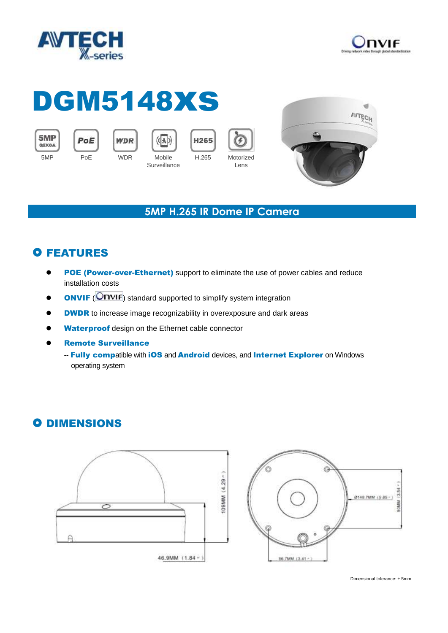



# DGM5148xs

5MP QSXGA



**WDR** 



H265 **Surveillance** 

 $(\langle |k| \rangle)$ 





#### **5MP H.265 IR Dome IP Camera**

## **O FEATURES**

- POE (Power-over-Ethernet) support to eliminate the use of power cables and reduce installation costs
- **ONVIF** (**ONVIF**) standard supported to simplify system integration
- **OBBOO DWOR** to increase image recognizability in overexposure and dark areas
- Waterproof design on the Ethernet cable connector
- Remote Surveillance
	- -- Fully compatible with iOS and Android devices, and Internet Explorer on Windows operating system

## **O DIMENSIONS**





Dimensional tolerance: ± 5mm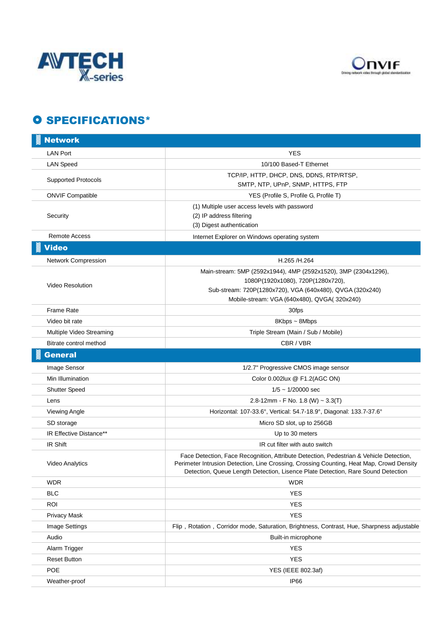



### **O SPECIFICATIONS\***

| <b>Network</b>             |                                                                                                                                                                                                                                                                        |
|----------------------------|------------------------------------------------------------------------------------------------------------------------------------------------------------------------------------------------------------------------------------------------------------------------|
| <b>LAN Port</b>            | <b>YES</b>                                                                                                                                                                                                                                                             |
| <b>LAN Speed</b>           | 10/100 Based-T Ethernet                                                                                                                                                                                                                                                |
| <b>Supported Protocols</b> | TCP/IP, HTTP, DHCP, DNS, DDNS, RTP/RTSP,<br>SMTP, NTP, UPnP, SNMP, HTTPS, FTP                                                                                                                                                                                          |
| <b>ONVIF Compatible</b>    | YES (Profile S, Profile G, Profile T)                                                                                                                                                                                                                                  |
| Security                   | (1) Multiple user access levels with password<br>(2) IP address filtering<br>(3) Digest authentication                                                                                                                                                                 |
| <b>Remote Access</b>       | Internet Explorer on Windows operating system                                                                                                                                                                                                                          |
| <b>Video</b>               |                                                                                                                                                                                                                                                                        |
| <b>Network Compression</b> | H.265 /H.264                                                                                                                                                                                                                                                           |
| <b>Video Resolution</b>    | Main-stream: 5MP (2592x1944), 4MP (2592x1520), 3MP (2304x1296),<br>1080P(1920x1080), 720P(1280x720),<br>Sub-stream: 720P(1280x720), VGA (640x480), QVGA (320x240)<br>Mobile-stream: VGA (640x480), QVGA(320x240)                                                       |
| <b>Frame Rate</b>          | 30fps                                                                                                                                                                                                                                                                  |
| Video bit rate             | 8Kbps ~ 8Mbps                                                                                                                                                                                                                                                          |
| Multiple Video Streaming   | Triple Stream (Main / Sub / Mobile)                                                                                                                                                                                                                                    |
| Bitrate control method     | CBR / VBR                                                                                                                                                                                                                                                              |
| <b>General</b>             |                                                                                                                                                                                                                                                                        |
| Image Sensor               | 1/2.7" Progressive CMOS image sensor                                                                                                                                                                                                                                   |
| Min Illumination           | Color 0.002lux @ F1.2(AGC ON)                                                                                                                                                                                                                                          |
| <b>Shutter Speed</b>       | $1/5 \sim 1/20000$ sec                                                                                                                                                                                                                                                 |
| Lens                       | 2.8-12mm - F No. 1.8 (W) ~ 3.3(T)                                                                                                                                                                                                                                      |
| Viewing Angle              | Horizontal: 107-33.6°, Vertical: 54.7-18.9°, Diagonal: 133.7-37.6°                                                                                                                                                                                                     |
| SD storage                 | Micro SD slot, up to 256GB                                                                                                                                                                                                                                             |
| IR Effective Distance**    | Up to 30 meters                                                                                                                                                                                                                                                        |
| IR Shift                   | IR cut filter with auto switch                                                                                                                                                                                                                                         |
| <b>Video Analytics</b>     | Face Detection, Face Recognition, Attribute Detection, Pedestrian & Vehicle Detection,<br>Perimeter Intrusion Detection, Line Crossing, Crossing Counting, Heat Map, Crowd Density<br>Detection, Queue Length Detection, Lisence Plate Detection, Rare Sound Detection |
| <b>WDR</b>                 | <b>WDR</b>                                                                                                                                                                                                                                                             |
| <b>BLC</b>                 | <b>YES</b>                                                                                                                                                                                                                                                             |
| <b>ROI</b>                 | <b>YES</b>                                                                                                                                                                                                                                                             |
| <b>Privacy Mask</b>        | <b>YES</b>                                                                                                                                                                                                                                                             |
| <b>Image Settings</b>      | Flip, Rotation, Corridor mode, Saturation, Brightness, Contrast, Hue, Sharpness adjustable                                                                                                                                                                             |
| Audio                      | Built-in microphone                                                                                                                                                                                                                                                    |
| Alarm Trigger              | <b>YES</b>                                                                                                                                                                                                                                                             |
| <b>Reset Button</b>        | <b>YES</b>                                                                                                                                                                                                                                                             |
| POE                        | YES (IEEE 802.3af)                                                                                                                                                                                                                                                     |
| Weather-proof              | IP66                                                                                                                                                                                                                                                                   |
|                            |                                                                                                                                                                                                                                                                        |